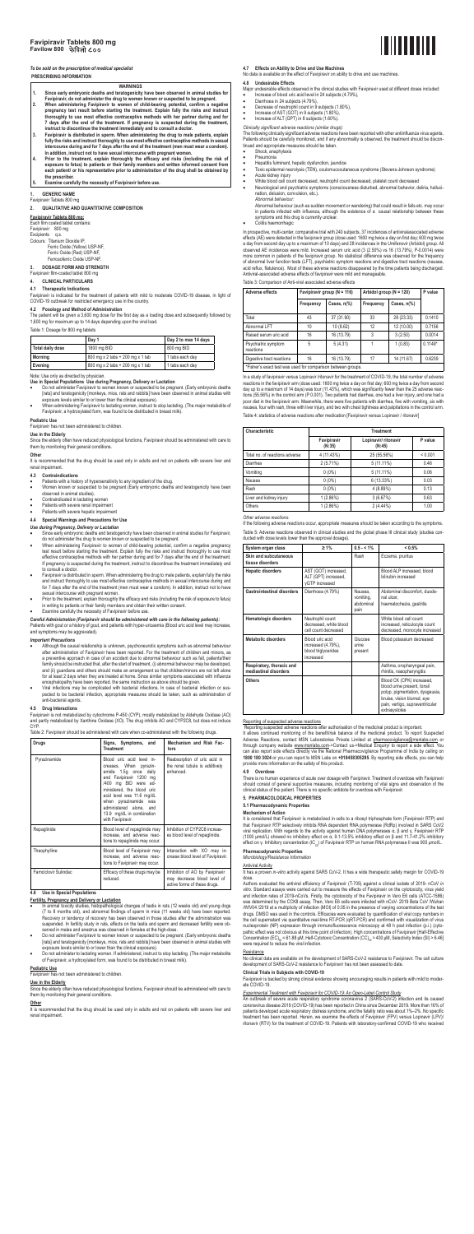### *To be sold on the prescription of medical specialist*

# **PRESCRIBING INFORMATION**

- **WARNINGS 1. Since early embryonic deaths and teratogenicity have been observed in animal studies for**
- **Favipiravir, do not administer the drug to women known or suspected to be pregnant.**
- **2. When administering Favipiravir to women of child-bearing potential, confirm a negative pregnancy test result before starting the treatment. Explain fully the risks and instruct thoroughly to use most effective contraceptive methods with her partner during and for**  7 days after the end of the treatment. If pregnancy is suspected during the treatment,<br>instruct to discontinue the treatment immediately and to consult a doctor.<br>3. Favipiravir is distributed in sperm. When administering t
- fully the risks and instruct thoroughly to use most effective contraceptive methods in sexual<br>intercourse during and for 7 days after the end of the treatment (men must wear a condom).<br>In addition, instruct not to have sex
- 4. Prior to the treatment, explain thoroughly the efficacy and risks (including the risk of<br>exposure to fetus) to patients or their family members and written informed consent from<br>each patient/ or his representative prior **the prescriber.**
- **5. Examine carefully the necessity of Favipiravir before use.**

# **1. GENERIC NAME**

Favipiravir Tablets 800 mg

**2. QUALITATIVE AND QUANTITATIVE COMPOSITION** 

# **Favipiravir Tablets 800 mg:**

**Use in the Elderly**  Since the elderly often have reduced physiological functions, Favipiravir should be administered with care to them by monitoring their general conditions

Each film coated tablet contains: Favipiravir 800 mg Excipients q.s.

Colours: Titanium Dioxide IP, Ferric Oxide (Yellow) USP-NF, Ferric Oxide (Red) USP-NF,

# Ferrosoferric Oxide USP-NF

It is recommended that the drug should be used only in adults and not on patients with severe liver and renal impairment.

- Patients with a history of hypersensitivity to any ingredient of the drug.
- Women known or suspected to be pregnant (Early embryonic deaths and teratogenicity have been observed in animal studies).
- Contraindicated in lactating women
- Patients with severe renal impairment
- Patients with severe hepatic impairment

#### **3. DOSAGE FORM AND STRENGTH**  Favipiravir film-coated tablet 800 mg

**4. CLINICAL PARTICULARS** 

# **4.1 Therapeutic Indications**

- *Use during Pregnancy, Delivery or Lactation*
- Since early embryonic deaths and teratogenicity have been observed in animal studies for Favipiravir,
- do not administer the drug to women known or suspected to be pregnant.<br>When administering Favipiravir to women of child-bearing potential, confirm a negative pregnancy<br>test result before starting the treatment. Explain ful effective contraceptive methods with her partner during and for 7 days after the end of the treatment.<br>If pregnancy is suspected during the treatment, instruct to discontinue the treatment immediately and to consult a doctor.
- Favipiravir is distributed in sperm. When administering the drug to male patients, explain fully the risks<br>and instruct thoroughly to use most effective contraceptive methods in sexual intercourse during and<br>for 7 days aft
- sexual intercourse with pregnant women. Prior to the treatment, explain thoroughly the efficacy and risks (including the risk of exposure to fetus) in writing to patients or their family members and obtain their written consent
- Examine carefully the necessity of Favipiravir before use.

Favipiravir is indicated for the treatment of patients with mild to moderate COVID-19 disease, in light of COVID-19 outbreak for restricted emergency use in the country.

# **4.2 Posology and Method of Administration**

The patient will be given a 3,600 mg dose for the first day as a loading dose and subsequently followed by 1,600 mg for maximum up to 14 days depending upon the viral load.

# Table 1: Dosage for 800 mg tablets

| Day 1            |                                  | Day 2 to max 14 days |
|------------------|----------------------------------|----------------------|
| Total daily dose | 1800 mg BID                      | 800 mg BID           |
| Mornina          | 800 mg x 2 tabs + 200 mg x 1 tab | 1 tabs each day      |
| Evening          | 800 mg x 2 tabs + 200 mg x 1 tab | 1 tabs each day      |

- Although the causal relationship is unknown, psychoneurotic symptoms such as abnormal behaviour after administration of Favipiravir have been reported. For the treatment of children and minors, as<br>a preventive approach in case of an accident due to abnormal behaviour such as fall, patients/their<br>family should be inst and (ii) guardians and others should make an arrangement so that children/minors are not left alone<br>for at least 2 days when they are treated at home. Since similar symptoms associated with influenza<br>encephalopathy have be
- Viral infections may be complicated with bacterial infections. In case of bacterial infection or susper completion, appropriate measures should be taken, such as administration of pected to be bacter<br>anti-bacterial agents
- Note: Use only as directed by physician. **Use in Special Populations Use during Pregnancy, Delivery or Lactation**
- Do not administer Favipiravir to women known or suspected to be pregnant. (Early embryonic deaths<br>[rats] and teratogenicity [monkeys, mice, ratis and rabbits] have been observed in animal studies with<br>exposure levels si
- When administering Favipiravir to lactating women, instruct to stop lactating. (The major metabolite of Favipiravir, a hydroxylated form, was found to be distributed in breast milk).

**Pediatric Use**  Favipiravir has not been administered to children.

# **Other**

# **4.3 Contraindications**

# **4.4 Special Warnings and Precautions for Use**

Since the elderly often have reduced physiological functions, Favipiravir should be administered with care to them by monitoring their general conditions

It is recommended that the drug should be used only in adults and not on patients with severe liver and renal impairment.

### ata is available on the effect of Favipiravir on ability to drive and use machine **4.8 Undesirable Effects**

*Abnormal behaviour:* Abnormal behaviour (such as sudden movement or wandering) that could result in falls etc. may occur in patients infected with influenza, although the existence of a causal relationship between these ptoms and this drug is currently unclear

*Careful Administration (Favipiravir should be administered with care in the following patients):*  Patients with gout or a history of gout, and patients with hyper-uricaemia (Blood uric acid level may increase and symptoms may be aggravated).

# *Important Precautions*

# **4.5 Drug Interactions**

Favipiravir is not metabolized by cytochrome P-450 (CYP), mostly metabolized by Aldehyde Oxidase (AO) and partly metabolized by Xanthine Oxidase (XO). The drug inhibits AO and CYP2C8, but does not induce CYP.

#### Table 2: Favipiravir should be administered with care when co-administered with the following drugs.

| Drugs                | Signs, Symptoms, and<br><b>Treatment</b>                                                                                                                                                                                                                                                         | Mechanism and Risk Fac-<br>tors                                                                |
|----------------------|--------------------------------------------------------------------------------------------------------------------------------------------------------------------------------------------------------------------------------------------------------------------------------------------------|------------------------------------------------------------------------------------------------|
| Pyrazinamide         | Blood uric acid level in-<br>creases. When pyrazin-<br>amide 1.5g once daily<br>and Favipiravir 1200 mg<br>/400 mg BID were ad-<br>ministered, the blood uric<br>acid level was 11.6 mg/dL<br>when pyrazinamide was<br>administered alone, and<br>13.9 mg/dL in combination<br>with Favipiravir. | Reabsorption of uric acid in<br>the renal tubule is additively<br>enhanced.                    |
| Repaglinide          | Blood level of repaglinide may<br>increase, and adverse reac-<br>tions to repaglinide may occur.                                                                                                                                                                                                 | Inhibition of CYP2C8 increas-<br>es blood level of repaglinide.                                |
| Theophylline         | Blood level of Favipiravir may<br>increase, and adverse reac-<br>tions to Favipiravir may occur.                                                                                                                                                                                                 | Interaction with XO may in-<br>crease blood level of Favipiravir.                              |
| Famciclovir Sulindac | Efficacy of these drugs may be<br>reduced.                                                                                                                                                                                                                                                       | Inhibition of AO by Favipiravir<br>may decrease blood level of<br>active forms of these drugs. |

Reporting suspected adverse reactions after authorisation of the medicinal product is important.<br>It allows continued monitoring of the benefit/risk balance of the medicinal product. To report Suspected<br>Adverse Reactions, c through company website <u>www.msnlabs.com</u>->Contact us->Medical Enquiry/ to report a side effect. You<br>can also report side effects directly via the National Pharmacovigilance Programme of India by calling on<br>**1800 180 3024** provide more information on the safety of this product.

### **4.6 Use in Special Populations**

- **Fertility, Pregnancy and Delivery or Lactation** In animal toxicity studies, histopathological changes of testis in rats (12 weeks old) and young dogs (7 to 8 months old), and abnormal findings of sperm in mice (11 weeks old) have been reported. Recovery or tendency of recovery has been observed in those studies after the administration was suspended. In fertility study in rats, effects on the testis and sperm and decreased fertility were observed in males and anestrus was observed in females at the high-dose.
- Do not administer Favipiravir to women known or suspected to be pregnant. (Early embryonic deaths [rats] and teratogenicity [monkeys, mice, rats and rabbits] have been observed in animal studies with exposure levels similar to or lower than the clinical exposure).
- Do not administer to lactating women. If administered, instruct to stop lactating. (The major metabolite of Favipiravir, a hydroxylated form, was found to be distributed in breast milk).

dose. Authors evaluated the antiviral efficiency of Favipiravir (T-705) against a clinical isolate of 2019- nCoV *in vitro*. Standard assays were carried out to measure the effects of Favipiravir on the cytotoxicity, virus yield<br>and infection rates of 2019-nCoVs. Firstly, the cytotoxicity of the Favipiravir in Vero E6 cells (ATCC-1586) was determined by the CCK8 assay. Then, Vero E6 cells were infected with nCoV- 2019 Beta CoV /Wuhan<br>/WIV04 /2019 at a multiplicity of infection (MOI) of 0.05 in the presence of varying concentrations of the test<br>drugs. DMS the cell supernatant via quantitative real-time RT-PCR (qRT-PCR) and confirmed with visualization of virus nucleoprotein (NP) expression through immunofluorescence microscopy at 48 h post infection (p.i.) (cyto-pathic effect was not obvious at this time point of infection). High concentrations of Favipiravir [Half-Effective Concentration (EC)<sub>so</sub> = 61.88 μM, Half-Cytotoxic Concentration (CC)<sub>so</sub> > 400 μM, Selectivity Index (SI) > 6.46]<br>were required to reduce the viral infection.

# **Resistance**

# **Pediatric Use**

Favipiravir has not been administered to children.

# **Use in the Elderly**

#### **Other**

# **4.7 Effects on Ability to Drive and Use Machines**

- Major undesirable effects observed in the clinical studies with Favipiravir used at different doses included:
- Increase of blood uric acid level in 24 subjects (4.79%),
- Diarrhoea in 24 subjects (4.79%),
- Decrease of neutrophil count in 9 subjects (1.80%),
- Increase of AST (GOT) in 9 subjects (1.80%), Increase of ALT (GPT) in 8 subjects (1.60%).
- *Clinically significant adverse reactions (similar drugs):*

The following clinically significant adverse reactions have been reported with other antiinfluenza virus agents. Patients should be carefully monitored, and if any abnormality is observed, the treatment should be discontinued and appropriate measures should be taken. • Shock, anaphylaxis

- Pneumonia
- Hepatitis fulminant, hepatic dysfunction, jaundice
- Toxic epidermal necrolysis (TEN), oculomucocutaneous syndrome (Stevens-Johnson syndrome) • Acute kidney injury
- White blood cell count decreased, neutrophil count decreased, platelet count decreased Neurological and psychiatric symptoms (consciousness disturbed, abnormal behavior, deliria, halluci-
- nation, delusion, convulsion, etc.).

• Colitis haemorrhagic

In prospective, multi-center, comparative trial with 240 subjects, 37 incidences of antiviralassociated adverse effects (AE) were detected in the favipiravir group (dose used: 1600 mg twice a day on first day; 600 mg twice<br>a day from second day up to a maximum of 10 days) and 28 incidences in the Umifenovir (Arbidol) group. All<br>obse more common in patients of the favipiravir group. No statistical difference was observed for the frequency<br>of abnormal liver function tests (LFT), psychiatric symptom reactions and digestive tract reactions (nausea,<br>acid r Antiviral-associated adverse effects of favipiravir were mild and manageable.

#### Table 3: Comparison of Anti-viral associated adverse effects

| Adverse effects                                              | Favipiravir group (N = 116) |                       | Arbidol group ( $N = 120$ ) | P value     |           |  |  |
|--------------------------------------------------------------|-----------------------------|-----------------------|-----------------------------|-------------|-----------|--|--|
|                                                              | Frequency                   | Cases, $n\frac{9}{6}$ | Frequency                   | Cases, n(%) |           |  |  |
| Total                                                        | 43                          | 37 (31.90)            | 33                          | 28 (23.33)  | 0.1410    |  |  |
| Abnormal LFT                                                 | 10                          | 10 (8.62)             | 12                          | 12 (10.00)  | 0.7156    |  |  |
| Raised serum uric acid                                       | 16                          | 16 (13.79)            | 3                           | 3(2.50)     | 0.0014    |  |  |
| Psychiatric symptom<br>reactions                             | 5                           | 5(4.31)               |                             | 1(0.83)     | $0.1149*$ |  |  |
| Digestive tract reactions                                    | 16                          | 16 (13.79)            | 17                          | 14 (11.67)  | 0.6239    |  |  |
| *Fisher's exact test was used for comparison between groups. |                             |                       |                             |             |           |  |  |

In a study of favipiravir versus Lopinavir /ritonavir for the treatment of COVID-19, the total number of adverse<br>reactions in the favipiravir arm (dose used: 1600 mg twice a day on first day; 600 mg twice a day from second tions (55.56%) in the control arm (P 0.001). Two patients had diarrhea, one had a liver injury, and one had a poor diet in the favipiravir arm. Meanwhile, there were five patients with diarrhea, five with vomiting, six with nausea, four with rash, three with liver injury, and two with chest tightness and palpitations in the control arm. Table 4: statistics of adverse reactions after medication [Favipiravir versus Lopinavir / ritonavir]

| Characteristic                 | <b>Treatment</b>      |                                |         |  |  |  |
|--------------------------------|-----------------------|--------------------------------|---------|--|--|--|
|                                | Favipiravir<br>(N:35) | Lopinavir/ ritonavir<br>(N:45) | P value |  |  |  |
| Total no, of reactions adverse | 4 (11.43%)            | 25 (55.56%)                    | < 0.001 |  |  |  |
| Diarrhea                       | 2(5.71%)              | $5(11.11\%)$                   | 0.46    |  |  |  |
| Vomiting                       | $0(0\%)$              | $5(11.11\%)$                   | 0.06    |  |  |  |
| Nausea                         | $0(0\%)$              | 6 (13.33%)                     | 0.03    |  |  |  |
| Rash                           | $0(0\%)$              | 4 (8.89%)                      | 0.13    |  |  |  |
| Liver and kidney injury        | 1(2.86%)              | 3(6.67%)                       | 0.63    |  |  |  |
| Others                         | 1(2.86%)              | $2(4.44\%)$                    | 1.00    |  |  |  |

#### *Other adverse reactions:*

If the following adverse reactions occur, appropriate measures should be taken according to the symptoms. Table 5: Adverse reactions observed in clinical studies and the global phase III clinical study (studies con-ducted with dose levels lower than the approval dosage).

| System organ class                                 | $\geq 1\%$                                                                | $0.5 - < 1\%$                             | < 0.5%                                                                                                                                                                         |
|----------------------------------------------------|---------------------------------------------------------------------------|-------------------------------------------|--------------------------------------------------------------------------------------------------------------------------------------------------------------------------------|
| Skin and subcutaneous<br>tissue disorders          |                                                                           | Rash                                      | Eczema, pruritus                                                                                                                                                               |
| <b>Hepatic disorders</b>                           | AST (GOT) increased,<br>ALT (GPT) increased,<br>vGTP increased            |                                           | Blood ALP increased, blood<br>bilirubin increased                                                                                                                              |
| <b>Gastrointestinal disorders</b>                  | Diarrhoea (4.79%)                                                         | Nausea.<br>vomiting,<br>abdominal<br>pain | Abdominal discomfort, duode-<br>nal ulcer.<br>haematochezia, gastritis                                                                                                         |
| Hematologic disorders                              | Neutrophil count<br>decreased, white blood<br>cell count decreased        |                                           | White blood cell count<br>increased, reticulocyte count<br>decreased, monocyte increased                                                                                       |
| Metabolic disorders                                | Blood uric acid<br>increased (4.79%),<br>blood triglycerides<br>increased | Glucose<br>urine<br>present               | Blood potassium decreased                                                                                                                                                      |
| Respiratory, thoracic and<br>mediastinal disorders |                                                                           |                                           | Asthma, oropharyngeal pain,<br>rhinitis, nasopharyngitis                                                                                                                       |
| <b>Others</b>                                      |                                                                           |                                           | Blood CK (CPK) increased,<br>blood urine present, tonsil<br>polyp, pigmentation, dysgeusia,<br>bruise, vision blurred, eye<br>pain, vertigo, supraventricular<br>extrasystoles |

#### Reporting of suspected adverse reactions

**4.9 Overdose** 



There is no human experience of acute over dosage with Favipiravir. Treatment of overdose with Favipiravir should consist of general supportive measures, including monitoring of vital signs and observation of the clinical status of the patient. There is no specific antidote for overdose with Favipiravir.

# **5. PHARMACOLOGICAL PROPERTIES**

**5.1 Pharmacodynamic Properties** 

# **Mechanism of Action**

It is considered that Favipiravir is metabolized in cells to a ribosyl triphosphate form (Favipiravir RTP) and that Favipiravir RTP selectively inhibits RNA dependent RNA polymerase (RdRp) involved in SARS CoV2<br>viral replication. With regards to the activity against human DNA polymerases α, β and γ, Favipiravir RTP<br>(1000 μmol/L) s effect on γ. Inhibitory concentration (IC<sub>50</sub>) of Favipiravir RTP on human RNA polymerase II was 905 μmol/L.

# **Pharmacodynamic Properties**

*Microbiology/Resistance Information* 

#### Antiviral Activity

It has a proven *in-vitro* activity against SARS CoV-2. It has a wide therapeutic safety margin for COVID-19

No clinical data are available on the development of SARS-CoV-2 resistance to Favipiravir. The cell culture development of SARS-CoV-2 resistance to Favipiravir has not been assessed to date.

# **Clinical Trials in Subjects with COVID-19**

Favipiravir is backed by strong clinical evidence showing encouraging results in patients with mild to moderate COVID-19.

# *Pental Treatment with Favipiravir for COVID-19: An Open-Label Control Study*

An outbreak of severe acute respiratory syndrome coronavirus 2 (SARS-CoV-2) infection and its caused coronavirus disease 2019 (COVID-19) has been reported in China since December 2019. More than 16% of patients developed acute respiratory distress syndrome, and the fatality ratio was about 1%–2%. No specific treatment has been reported. Herein, we examine the effects of Favipiravir (FPV) versus Lopinavir (LPV)/ ritonavir (RTV) for the treatment of COVID-19. Patients with laboratory-confirmed COVID-19 who received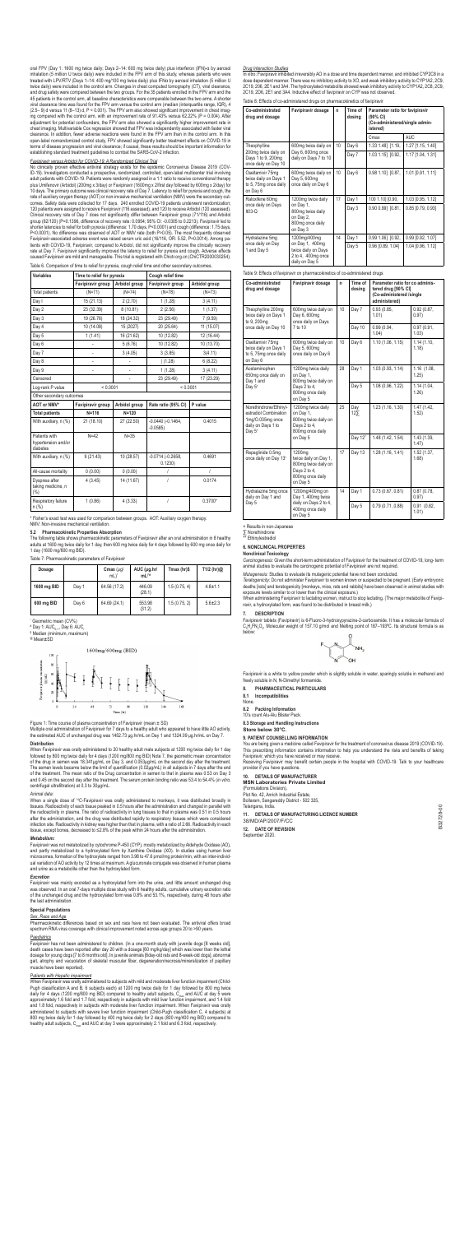No clinically proven effective antiviral strategy exists for the epidemic Coronavirus Disease 2019 (COV-ID-19). Investigators conducted a prospective, randomized, controlled, open-label multicenter trial involving adult patients with COVID-19. Patients were randomly assigned in a 1:1 ratio to receive conventional therapy plus Umifenovir (Arbidol) (200mg x 3/day) or Favipiravir (1600mg x 2/first day followed by 600mg x 2/day) for 10 days. The primary outcome was clinical recovery rate of Day 7. Latency to relief for pyrexia and cough, the rate of auxiliary oxygen therapy (AOT) or non-invasive mechanical ventilation (NMV) were the secondary out-<br>comes. Safety data were collected for 17 days. 240 enrolled COVID-19 patients underwent randomization;<br>120 patient group (62/120) (P=0.1396, difference of recovery rate: 0.0954; 95% CI: -0.0305 to 0.2213). Favipiravir led to<br>shorter latencies to relief for both pyrexia (difference: 1.70 days, P<0.0001) and cough (difference: 1.75 days, Favipiravir-associated adverse event was raised serum uric acid (16/116, OR: 5.52, P=0.0014). Among patients with COVID-19, Favipiravir, compared to Arbidol, did not significantly improve the clinically recovery<br>rate at Day 7. Favipiravir significantly improved the latency to relief for pyrexia and cough. Adverse effects<br>c

oral FPV (Day 1: 1600 mg twice daily; Days 2–14: 600 mg twice daily) plus interferon (IFN)-α by aerosol<br>inhalation (5 million U twice daily) were included in the FPV arm of this study, whereas patients who were<br>treated wit twice daily) were included in the control arm. Changes in chest computed tomography (CT), viral clearance, and drug safety were compared between the two groups. For the 35 patients enrolled in the FPV arm and the 45 patients in the control arm, all baseline characteristics were comparable between the two arms. A shorter<br>viral clearance time was found for the FPV arm versus the control arm (median (interquartile range, IQR), 4 viral clearance time was found for the FPV arm versus the control arm (median (interquartile range, IQR), 4<br>(2.5–9) d versus 11 (8–13) d, P < 0.001). The FPV arm also showed significant improvement in chest imag-<br>ing compa chest imaging. Multivariable Cox regression showed that FPV was independently associated with faster viral clearance. In addition, fewer adverse reactions were found in the FPV arm than in the control arm. In this open-label nonrandomized control study, FPV showed significantly better treatment effects on COVID-19 in<br>terms of disease progression and viral clearance; if causal, these results should be important information for<br>establ

### *Favipiravir versus Arbidol for COVID-19: A Randomized Clinical Trial*

Fisher's exact test was used for comparison between groups. AOT: Auxiliary oxygen therapy. NMV: Non-invasive mechanical ventilation.

When Favipiravir was orally administered to 20 healthy adult male subjects at 1200 mg twice daily for 1 day followed by 800 mg twice daily for 4 days (1200 mg/800 mg BID) Note 7, the geometric mean concentration<br>of the drug in semen was 18.341µg/mL on Day 3, and 0.053µg/mL on the second day after the treatment.<br>The semen levels

|  |  |  | Table 6. Comparison of time to relief for pyrexia, cough relief time and other secondary outcomes. |
|--|--|--|----------------------------------------------------------------------------------------------------|
|  |  |  |                                                                                                    |

*Sex, Race and Age* Pharmacokinetic differences based on sex and race have not been evaluated. The antiviral offers broad spectrum RNA virus coverage with clinical improvement noted across age groups 20 to >90 years

| Variables                                        | Time to relief for pyrexia |               | Cough relief time               |                |  |
|--------------------------------------------------|----------------------------|---------------|---------------------------------|----------------|--|
|                                                  | Favipiravir group          | Arbidol group | Favipiravir group               | Arbidol group  |  |
| Total patients                                   | $(N=71)$                   | $(N=74)$      | $(N=78)$                        | $(N=73)$       |  |
| Day I                                            | 15 (21.13)                 | 2(2.70)       | 1(1.28)                         | 3(4.11)        |  |
| Day 2                                            | 23 (32.39)                 | 8(10.81)      | 2(2.56)                         | 1(1.37)        |  |
| Day 3                                            | 19 (26.76)                 | 18 (24.32)    | 23 (29.49)                      | 7(9.59)        |  |
| Day 4                                            | 10 (14.08)                 | 15 (2027)     | 20 (25.64)                      | 11 (15.07)     |  |
| Day 5                                            | 1(1.41)                    | 16 (21.62)    | 10 (12.82)                      | 12 (16.44)     |  |
| Day 6                                            |                            | 5(6.76)       | 10 (12.82)                      | 10 (13.70)     |  |
| Day 7                                            |                            | 3(4.05)       | 3(3.85)                         | 3(4.11)        |  |
| Day 8                                            |                            |               | (1.28)                          | 6(8.22)        |  |
| Day 9                                            | ä,                         | ä,            | 1(1.28)                         | 3(4.11)        |  |
| Censored                                         |                            | ä,            | 23 (29.49)                      | 17 (23.29)     |  |
| Log-rank P value                                 | < 0.0001                   |               | < 0.0001                        |                |  |
| Other secondary outcomes                         |                            |               |                                 |                |  |
| AOT or NMV*                                      | Favipiravir group          | Arbidol group | Rate ratio (95% CI)             | P value        |  |
| <b>Total patients</b>                            | $N = 116$                  | $N = 120$     |                                 |                |  |
| With auxiliary, n (%)                            | 21 (18.10)                 | 27 (22.50)    | $-0.0440(-0.1464,$<br>$-0.0585$ | 0.4015         |  |
| Patients with<br>hypertension and/or<br>diabetes | $N=42$                     | $N = 35$      |                                 |                |  |
| With auxiliary, n (%)                            | 9(21.43)                   | 10 (28.57)    | $-0.0714 (-0.2658,$<br>0.1230   | 0.4691         |  |
| All-cause mortality                              | (0.00)                     | (0.00)        | T                               | $\overline{1}$ |  |
| Dyspnea after<br>taking medicine, n<br>$(\% )$   | 4(3.45)                    | 14 (11.67)    | $\overline{I}$                  | 0.0174         |  |
| Respiratory failure<br>n (%)                     | 1(0.86)                    | 4(3.33)       | 1                               | $0.3700*$      |  |

# **5.2 Pharmacokinetic Properties Absorption**

The following table shows pharmacokinetic parameters of Favipiravir after an oral administration in 8 healthy adults at 1600 mg twice daily for 1 day, then 600 mg twice daily for 4 days followed by 600 mg once daily for 1 day (1600 mg/600 mg BID).

Table 7: Pharmacokinetic parameters of Favipiravir

| Dosage      |       | Cmax $(\mu q)$<br>mL) <sup>*</sup> | $AUC$ ( $\mu$ g.hr/<br>$mL$ <sup>+#</sup> | Tmax (hr)\$  | T1/2 (hr) $@$ |
|-------------|-------|------------------------------------|-------------------------------------------|--------------|---------------|
| 1600 mg BID | Day 1 | 64.56 (17.2)                       | 446.09<br>(28.1)                          | 1.5(0.75, 4) | $4.8 \pm 1.1$ |
| 600 mg BID  | Day 6 | 64.69 (24.1)                       | 553.98<br>(31.2)                          | 1.5(0.75, 2) | $5.6 \pm 2.3$ |

\* Geometric mean (CV%)

Favipirav ir plasm



 $\sqrt{2}$ 

Time (hr)



 $48$ 

 $24$ 

Multiple oral administration of Favipiravir for 7 days to a healthy adult who appeared to have little AO activity, the estimated AUC of unchanged drug was 1452.73 μg.hr/mL on Day 1 and 1324.09 μg.hr/mL on Day 7.

96

120

144

168

### **Distribution**

of the treatment. The mean ratio of the Drug concentration in semen to that in plasma was 0.53 on Day 3 and 0.45 on the second day after the treatment. The serum protein binding ratio was 53.4 to 54.4% (*in vitro*, centrifugal ultrafiltration) at 0.3 to 30μg/mL.

 $\times$  Results in non-Japanese<br> $\sum_{**}$  Norethindrone ∑ Norethindrone

\* Ethinylestradiol

#### *Animal data:*

When a single dose of 14C-Favipiravir was orally administered to monkeys, it was distributed broadly in tissues. Radioactivity of each tissue peaked in 0.5 hours after the administration and changed in parallel with the radioactivity in plasma. The ratio of radioactivity in lung tissues to that in plasma was 0.51 in 0.5 hours<br>after the administration, and the drug was distributed rapidly to respiratory tissues which were considered<br>in tissue, except bones, decreased to ≤2.8% of the peak within 24 hours after the administration.

## *Metabolism:*

You are being given a medicine called Favipiravir for the treatment of coronavirus disease 2019 (COVID-19). This prescribing information contains information to help you understand the risks and benefits of taking<br>Favipiravir, which you have received or may receive.<br>Receiving Favipiravir may benefit certain people in the hospita

Favipiravir was not metabolized by cytochrome P-450 (CYP), mostly metabolized by Aldehyde Oxidase (AO), and partly metabolized to a hydroxylated form by Xanthine Oxidase (XO). In studies using human liver<br>microsomes, formation of the hydroxylate ranged from 3.98 to 47.6 pmol/mg protein/min, with an inter-individ-<br>ual variati and urine as a metabolite other than the hydroxylated form.

### *Excretion*

Favipiravir was mainly excreted as a hydroxylated form into the urine, and little amount unchanged drug was observed. In an oral 7-days multiple dose study with 6 healthy adults, cumulative urinary excretion ratio of the unchanged drug and the hydroxylated form was 0.8% and 53.1%, respectively, during 48 hours after the last administration.

#### **Special Populations**

#### *Paediatrics*

Favipiravir has not been administered to children. (In a one-month study with juvenile dogs [8 weeks old], death cases have been reported after day 20 with a dosage [60 mg/kg/day] which was lower than the lethal dosage for young dogs [7 to 8 months old]. In juvenile animals [6day-old rats and 8-week-old dogs], abnormal gait, atrophy and vacuolation of skeletal muscular fiber, degeneration/necrosis/mineralization of papillary muscle have been reported).

#### *Patients with Hepatic impairment*

When Favipiravir was orally administered to subjects with mild and moderate liver function impairment (Child-Pugh classification A and B, 6 subjects each) at 1200 mg twice daily for 1 day followed by 800 mg twice daily for 4 days (1200 mg/800 mg BID) compared to healthy adult subjects, C<sub>ama</sub> and AUC at day 5 were approximately 1.6 fold and 1.7 fold, respectively in subjects with mild liver function impairment, and 1.4 fold and 1.8 fold, respectively in subjects with moderate liver function impairment. When Favipiravir was orally administered to subjects with severe liver function impairment (Child-Pugh classification C, 4 subjects) at 800 mg twice daily for 1 day followed by 400 mg twice daily for 2 days (800 mg/400 mg BID) compared to<br>healthy adult subjects, C<sub>max</sub> and AUC at day 3 were approximately 2.1 fold and 6.3 fold, respectively.

#### *Drug Interaction Studies*

In vitro: Favipiravir inhibited irreversibly AO in a dose and time dependent manner, and inhibited CYP2C8 in a dose dependent manner. There was no inhibitory activity to XO, and weak inhibitory activity to CYP1A2, 2C9, 2C19, 206, 2E1 and 3A4. The hydroxylated metabolite showed weak inhibitory activity to CYP1A2, 2C8, 2C9, 2C19, 2D6, 2E1 and 3A4. Inductive effect of favipiravir on CYP was not observed.

Table 8: Effects of co-administered drugs on pharmacokinetics of favipiravir

| Co-administrated<br>drug and dosage                                            | Favipiravir dosage                                                             | n  | Time of<br>dosing | Parameter ratio for favipiravir<br>(90% CI)<br>(Co-administered/single admin-<br>istered) |                   |
|--------------------------------------------------------------------------------|--------------------------------------------------------------------------------|----|-------------------|-------------------------------------------------------------------------------------------|-------------------|
|                                                                                |                                                                                |    |                   | Cmax                                                                                      | <b>AUC</b>        |
| Theophylline                                                                   | 600mg twice daily on                                                           | 10 | Day 6             | 1.33 1.48] [1.19,                                                                         | 1.27 [1.15, 1.40] |
| 200mg twice daily on<br>Days 1 to 9, 200mg<br>once daily on Day 10             | Day 6, 600mg once<br>daily on Days 7 to 10                                     |    | Day 7             | 1.03 1.15] [0.92,                                                                         | 1.17 [1.04, 1.31] |
| Oseltamivir 75mg<br>twice daily on Days 1<br>to 5, 75mg once daily<br>on Day 6 | 600mg twice daily on<br>Day 5, 600mg<br>once daily on Day 6                    | 10 | Day 6             | $0.98$ 1.10] $[0.87,$                                                                     | 1.01 [0.91, 1.11] |
| Raloxifene 60mg<br>1200mg twice daily                                          |                                                                                | 17 | Day 1             | 100 1.10] [0.90,                                                                          | 1.03 [0.95, 1.12] |
| once daily on Days<br>$ItO3-O$                                                 | on Day 1,<br>800mg twice daily<br>on Day 2,<br>800mg once daily<br>on Day 3    |    | Day 3             | 0.90 0.99] [0.81,                                                                         | 0.85 [0.79, 0.93] |
| Hydralazine 5mg                                                                | 1200mg/400mg                                                                   | 14 | Day 1             | 0.99 1.06] [0.92,                                                                         | 0.99 [0.92, 1.07] |
| once daily on Day<br>1 and Day 5                                               | on Day 1, 400mg<br>twice daily on Days<br>2 to 4, 400mg once<br>daily on Day 5 |    | Day 5             | 0.96 [0.89, 1.04]                                                                         | 1.04 [0.96, 1.12] |

Table 9: Effects of favipiravir on pharmacokinetics of co-administered drugs

| Co-administrated<br>drug and dosage                                                                             | Favipiravir dosage                                                                                      | n  | Time of<br>dosing | Parameter ratio for co adminis-<br>tered drug [90% CI]<br>(Co-administered /single<br>administered) |                         |                      |
|-----------------------------------------------------------------------------------------------------------------|---------------------------------------------------------------------------------------------------------|----|-------------------|-----------------------------------------------------------------------------------------------------|-------------------------|----------------------|
| Theophylline 200mg<br>twice daily on Days 1<br>to 9, 200mg                                                      | 600mg twice daily on<br>Day 6, 600mg<br>once daily on Days                                              | 10 | Day 7             | 0.93(0.85,<br>1.01                                                                                  | 0.92(0.87,<br>0.97)     |                      |
| once daily on Day 10                                                                                            | 7 to 10                                                                                                 |    | Day 10            | 0.99(0.94,<br>1.04                                                                                  | 0.97(0.91,<br>1.03      |                      |
| Oseltamivir 75mg<br>twice daily on Days 1<br>to 5, 75mg once daily<br>on Day 6                                  | 600mg twice daily on<br>Day 5, 600mg<br>once daily on Day 6                                             | 10 | Day 6             | 1.10(1.06, 1.15)                                                                                    | 1.14(1.10.<br>1.18      |                      |
| Acetaminophen<br>650mg once daily on<br>Day 1 and                                                               | 1200mg twice daily<br>on Day 1,<br>800mg twice daily on                                                 | 28 | Day 1             | 1.03(0.93, 1.14)                                                                                    | 1.16 (1.08,<br>1.25)    |                      |
| Day 5 <sup>x</sup>                                                                                              | Days 2 to 4,<br>800mg once daily<br>on Day 5                                                            |    | Day 5             | 1.08 (0.96, 1.22)                                                                                   | 1.14 (1.04,<br>1.26     |                      |
| Norethindrone/Ethinyl-<br>estradiol Combination<br>1mg/O.035mg once<br>daily on Days 1 to<br>Day 5 <sup>x</sup> | 1200mg twice daily<br>on Day 1.<br>800mg twice daily on<br>Days 2 to 4,<br>800mg once daily<br>on Day 5 | 25 |                   | Day<br>125                                                                                          | 1.23(1.16, 1.30)        | 1.47 (1.42,<br>1.52) |
|                                                                                                                 |                                                                                                         |    | Day 12"           | 1.48 (1.42, 1.54)                                                                                   | 1.43 (1.39,<br>1.47     |                      |
| Repaglinide 0.5mg<br>once daily on Day 13*                                                                      | 1200mg<br>twice daily on Day 1,<br>800mg twice daily on<br>Days 2 to 4,<br>800mg once daily<br>on Day 5 | 17 | Day 13            | 1.28 (1.16, 1.41)                                                                                   | 1.52(1.37,<br>1.68      |                      |
| Hydralazine 5mg once<br>daily on Day 1 and                                                                      | 1200mg/400mg on<br>Day 1, 400mg twice                                                                   | 14 | Day 1             | 0.73(0.67, 0.81)                                                                                    | 0.87(0.78,<br>0.97)     |                      |
| Day 5                                                                                                           | daily on Days 2 to 4,<br>400mg once daily<br>on Day 5                                                   |    | Day 5             | 0.79 (0.71,0.88)                                                                                    | $0.91$ $(0.82.$<br>1.01 |                      |

### **6. NONCLINICAL PROPERTIES**

**Nonclinical Toxicology**  *Carcinogenesis:* Given the short-term administration of Favipiravir for the treatment of COVID-19, long- term animal studies to evaluate the carcinogenic potential of Favipiravir are not required.

*Mutagenesis:* Studies to evaluate its mutagenic potential have not been conducted.

*Teratogenicity:* Do not administer Favipiravir to women known or suspected to be pregnant. (Early embryonic deaths [rats] and teratogenicity [monkeys, mice, rats and rabbits] have been observed in animal studies with exposure levels similar to or lower than the clinical exposure.)

When administering Favipiravir to lactating women, instruct to stop lactating. (The major metabolite of Favipi-ravir, a hydroxylated form, was found to be distributed in breast milk.)

#### **7. DESCRIPTION**

Favipiravir tablets (Favipiravir) is 6-Fluoro-3-hydroxypyrazine-2-carboxamide. It has a molecular formula of<br>C<sub>s</sub>H<sub>4</sub>FN<sub>3</sub>O<sub>2</sub>, Molecular weight of 157.10 g/mol and Melting point of 187–193ºC. Its structural formula is as  $\mathbf{b}$ 



Favipiravir is a white to yellow powder which is slightly soluble in water, sparingly soluble in methanol and freely soluble in N, N-Dimethyl formamide.

**8. PHARMACEUTICAL PARTICULARS** 

**8.1 Incompatibilities** 

Non

**8.2 Packing Information** 

10's count Alu-Alu Blister Pack.

**8.3 Storage and Handling Instructions** 

**Store below 30°C.**

# **9. PATIENT COUNSELLING INFORMATION**

provider if you have questions.

# **10. DETAILS OF MANUFACTURER**

# **MSN Laboratories Private Limited**

(Formulations Division), Plot No. 42, Anrich Industrial Estate, Bollaram, Sangareddy District - 502 325, Telangana, India.

#### **11. DETAILS OF MANUFACTURING LICENCE NUMBER** 38/MD/AP/2007/F/CC

**12. DATE OF REVISION** 

September 2020.

<sup>#</sup> Day 1: AUC<sub>0-∞</sub>, Day 6: AUC<sub>;</sub><br><sup>\$</sup> Median (minimum\_maximur Median (minimum, maximum)

<sup>@</sup> Mean±SD